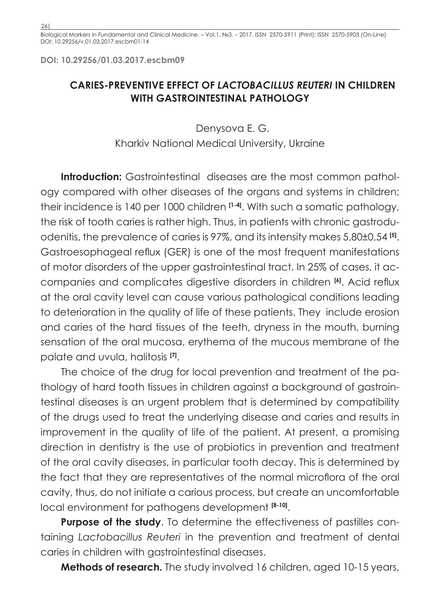Biological Markers in Fundamental and Clinical Medicine. – Vol.1, №3. – 2017. ISSN 2570-5911 (Print); ISSN 2570-5903 (On-Line) DOI: 10.29256/v.01.03.2017.escbm01-14

**DOI: 10.29256/01.03.2017.escbm09**

## **CARIES-PREVENTIVE EFFECT OF** *LACTOBACILLUS REUTERI* **IN CHILDREN WITH GASTROINTESTINAL PATHOLOGY**

Denysova E. G. Kharkiv National Medical University, Ukraine

**Introduction:** Gastrointestinal diseases are the most common pathology compared with other diseases of the organs and systems in children; their incidence is 140 per 1000 children **[1-4]**. With such a somatic pathology, the risk of tooth caries is rather high. Thus, in patients with chronic gastroduodenitis, the prevalence of caries is 97%, and its intensity makes 5,80±0,54 **[5]**. Gastroesophageal reflux (GER) is one of the most frequent manifestations of motor disorders of the upper gastrointestinal tract. In 25% of cases, it accompanies and complicates digestive disorders in children **[6]**. Acid reflux at the oral cavity level can cause various pathological conditions leading to deterioration in the quality of life of these patients. They include erosion and caries of the hard tissues of the teeth, dryness in the mouth, burning sensation of the oral mucosa, erythema of the mucous membrane of the palate and uvula, halitosis **[7]**.

The choice of the drug for local prevention and treatment of the pathology of hard tooth tissues in children against a background of gastrointestinal diseases is an urgent problem that is determined by compatibility of the drugs used to treat the underlying disease and caries and results in improvement in the quality of life of the patient. At present, a promising direction in dentistry is the use of probiotics in prevention and treatment of the oral cavity diseases, in particular tooth decay. This is determined by the fact that they are representatives of the normal microflora of the oral cavity, thus, do not initiate a carious process, but create an uncomfortable local environment for pathogens development **[8-10]**.

**Purpose of the study**. To determine the effectiveness of pastilles containing *Lactobacillus Reuteri* in the prevention and treatment of dental caries in children with gastrointestinal diseases.

**Methods of research.** The study involved 16 children, aged 10-15 years,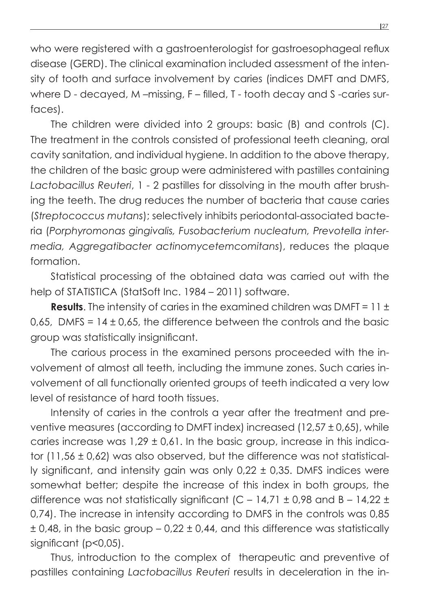who were registered with a gastroenterologist for gastroesophageal reflux disease (GERD). The clinical examination included assessment of the intensity of tooth and surface involvement by caries (indices DMFT and DMFS, where D - decayed, M –missing, F – filled, T - tooth decay and S -caries surfaces).

The children were divided into 2 groups: basic (B) and controls (C). The treatment in the controls consisted of professional teeth cleaning, oral cavity sanitation, and individual hygiene. In addition to the above therapy, the children of the basic group were administered with pastilles containing *Lactobacillus Reuteri*, 1 - 2 pastilles for dissolving in the mouth after brushing the teeth. The drug reduces the number of bacteria that cause caries (*Streptococcus mutans*); selectively inhibits periodontal-associated bacteria (*Porphyromonas gingivalis, Fusobacterium nucleatum, Prevotella intermedia, Aggregatibacter actinomycetemcomitans*), reduces the plaque formation.

Statistical processing of the obtained data was carried out with the help of STATISTICA (StatSoft Inc. 1984 – 2011) software.

**Results**. The intensity of caries in the examined children was DMFT = 11 ± 0,65, DMFS =  $14 \pm 0.65$ , the difference between the controls and the basic group was statistically insignificant.

The carious process in the examined persons proceeded with the involvement of almost all teeth, including the immune zones. Such caries involvement of all functionally oriented groups of teeth indicated a very low level of resistance of hard tooth tissues.

Intensity of caries in the controls a year after the treatment and preventive measures (according to DMFT index) increased (12,57 ± 0,65), while caries increase was 1,29 ± 0,61. In the basic group, increase in this indicator (11,56 ± 0,62) was also observed, but the difference was not statistically significant, and intensity gain was only 0,22 ± 0,35. DMFS indices were somewhat better; despite the increase of this index in both groups, the difference was not statistically significant (C – 14,71  $\pm$  0,98 and B – 14,22  $\pm$ 0,74). The increase in intensity according to DMFS in the controls was 0,85  $\pm$  0,48, in the basic group – 0,22  $\pm$  0,44, and this difference was statistically significant (p<0,05).

Thus, introduction to the complex of therapeutic and preventive of pastilles containing *Lactobacillus Reuteri* results in deceleration in the in